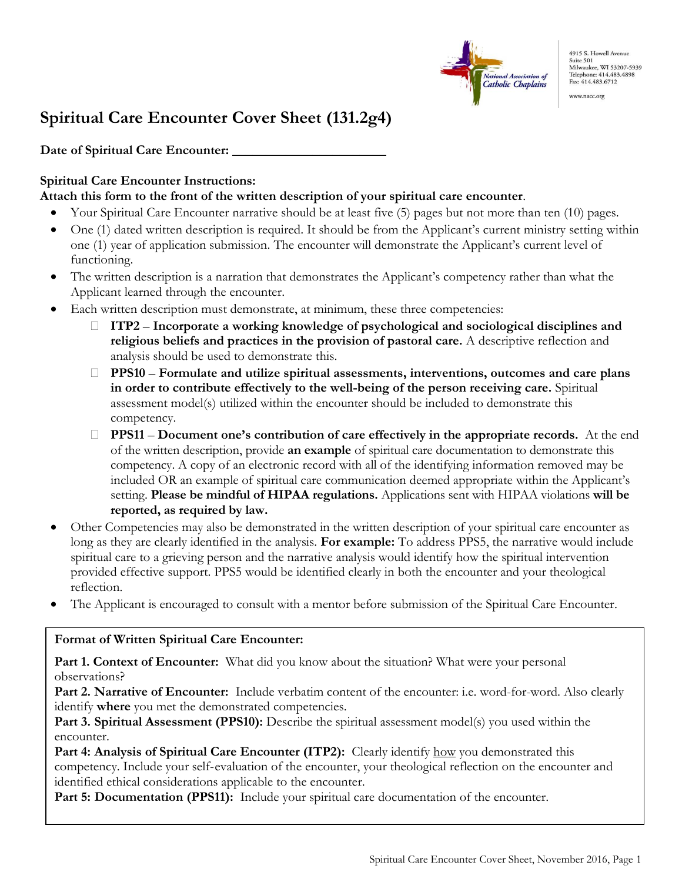

4915 S. Howell Avenue Suite 501 Suite 501<br>Milwaukee, WI 53207-5939 Telephone: 414.483.4898 Fax: 414.483.6712

www.nacc.org

# **Spiritual Care Encounter Cover Sheet (131.2g4)**

Date of Spiritual Care Encounter:

## **Spiritual Care Encounter Instructions:**

### **Attach this form to the front of the written description of your spiritual care encounter**.

- Your Spiritual Care Encounter narrative should be at least five (5) pages but not more than ten (10) pages.
- One (1) dated written description is required. It should be from the Applicant's current ministry setting within one (1) year of application submission. The encounter will demonstrate the Applicant's current level of functioning.
- The written description is a narration that demonstrates the Applicant's competency rather than what the Applicant learned through the encounter.
- Each written description must demonstrate, at minimum, these three competencies:
	- **ITP2 Incorporate a working knowledge of psychological and sociological disciplines and religious beliefs and practices in the provision of pastoral care.** A descriptive reflection and analysis should be used to demonstrate this.
	- **PPS10 Formulate and utilize spiritual assessments, interventions, outcomes and care plans in order to contribute effectively to the well-being of the person receiving care.** Spiritual assessment model(s) utilized within the encounter should be included to demonstrate this competency.
	- **PPS11 Document one's contribution of care effectively in the appropriate records.** At the end of the written description, provide **an example** of spiritual care documentation to demonstrate this competency. A copy of an electronic record with all of the identifying information removed may be included OR an example of spiritual care communication deemed appropriate within the Applicant's setting. **Please be mindful of HIPAA regulations.** Applications sent with HIPAA violations **will be reported, as required by law.**
- Other Competencies may also be demonstrated in the written description of your spiritual care encounter as long as they are clearly identified in the analysis. **For example:** To address PPS5, the narrative would include spiritual care to a grieving person and the narrative analysis would identify how the spiritual intervention provided effective support. PPS5 would be identified clearly in both the encounter and your theological reflection.
- The Applicant is encouraged to consult with a mentor before submission of the Spiritual Care Encounter.

## **Format of Written Spiritual Care Encounter:**

**Part 1. Context of Encounter:** What did you know about the situation? What were your personal observations?

**Part 2. Narrative of Encounter:** Include verbatim content of the encounter: i.e. word-for-word. Also clearly identify **where** you met the demonstrated competencies.

**Part 3. Spiritual Assessment (PPS10):** Describe the spiritual assessment model(s) you used within the encounter.

Part 4: Analysis of Spiritual Care Encounter (ITP2): Clearly identify how you demonstrated this competency. Include your self-evaluation of the encounter, your theological reflection on the encounter and identified ethical considerations applicable to the encounter.

**Part 5: Documentation (PPS11):** Include your spiritual care documentation of the encounter.